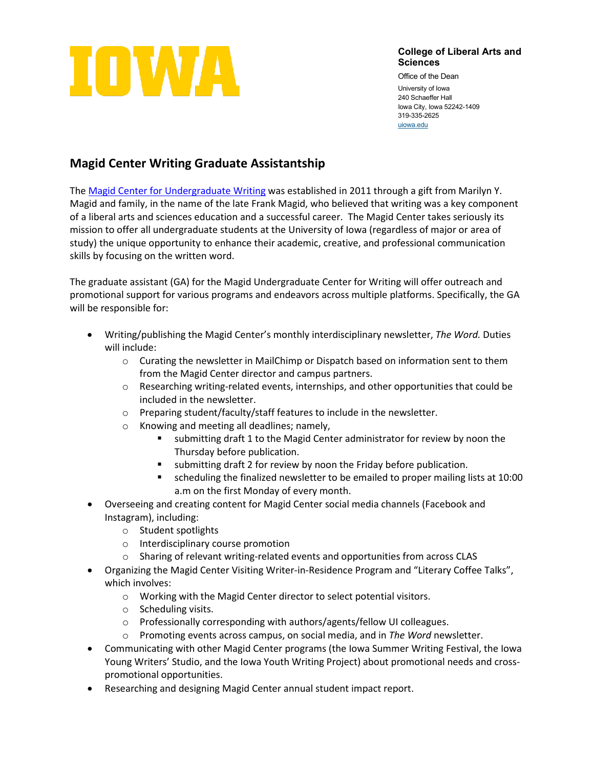

**College of Liberal Arts and Sciences**

Office of the Dean University of Iowa 240 Schaeffer Hall Iowa City, Iowa 52242-1409 319-335-2625 [uiowa.edu](http://uiowa.edu/)

## **Magid Center Writing Graduate Assistantship**

The [Magid Center for Undergraduate Writing](https://magidcenter.uiowa.edu/) was established in 2011 through a gift from Marilyn Y. Magid and family, in the name of the late Frank Magid, who believed that writing was a key component of a liberal arts and sciences education and a successful career. The Magid Center takes seriously its mission to offer all undergraduate students at the University of Iowa (regardless of major or area of study) the unique opportunity to enhance their academic, creative, and professional communication skills by focusing on the written word.

The graduate assistant (GA) for the Magid Undergraduate Center for Writing will offer outreach and promotional support for various programs and endeavors across multiple platforms. Specifically, the GA will be responsible for:

- Writing/publishing the Magid Center's monthly interdisciplinary newsletter, *The Word.* Duties will include:
	- o Curating the newsletter in MailChimp or Dispatch based on information sent to them from the Magid Center director and campus partners.
	- o Researching writing-related events, internships, and other opportunities that could be included in the newsletter.
	- o Preparing student/faculty/staff features to include in the newsletter.
	- o Knowing and meeting all deadlines; namely,
		- submitting draft 1 to the Magid Center administrator for review by noon the Thursday before publication.
		- submitting draft 2 for review by noon the Friday before publication.
		- scheduling the finalized newsletter to be emailed to proper mailing lists at 10:00 a.m on the first Monday of every month.
- Overseeing and creating content for Magid Center social media channels (Facebook and Instagram), including:
	- o Student spotlights
	- o Interdisciplinary course promotion
	- o Sharing of relevant writing-related events and opportunities from across CLAS
- Organizing the Magid Center Visiting Writer-in-Residence Program and "Literary Coffee Talks", which involves:
	- o Working with the Magid Center director to select potential visitors.
	- o Scheduling visits.
	- o Professionally corresponding with authors/agents/fellow UI colleagues.
	- o Promoting events across campus, on social media, and in *The Word* newsletter.
- Communicating with other Magid Center programs (the Iowa Summer Writing Festival, the Iowa Young Writers' Studio, and the Iowa Youth Writing Project) about promotional needs and crosspromotional opportunities.
- Researching and designing Magid Center annual student impact report.